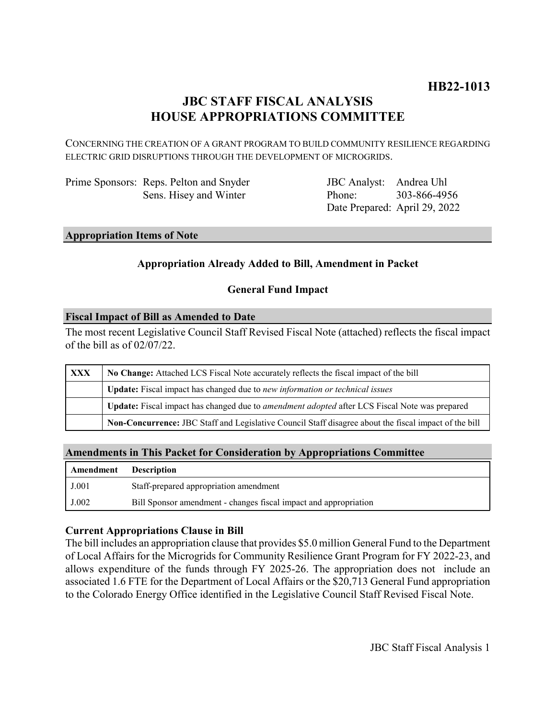# **JBC STAFF FISCAL ANALYSIS HOUSE APPROPRIATIONS COMMITTEE**

CONCERNING THE CREATION OF A GRANT PROGRAM TO BUILD COMMUNITY RESILIENCE REGARDING ELECTRIC GRID DISRUPTIONS THROUGH THE DEVELOPMENT OF MICROGRIDS.

| Prime Sponsors: Reps. Pelton and Snyder |
|-----------------------------------------|
| Sens. Hisey and Winter                  |

JBC Analyst: Andrea Uhl Phone: Date Prepared: April 29, 2022 303-866-4956

### **Appropriation Items of Note**

# **Appropriation Already Added to Bill, Amendment in Packet**

# **General Fund Impact**

### **Fiscal Impact of Bill as Amended to Date**

The most recent Legislative Council Staff Revised Fiscal Note (attached) reflects the fiscal impact of the bill as of 02/07/22.

| <b>XXX</b> | No Change: Attached LCS Fiscal Note accurately reflects the fiscal impact of the bill                       |  |
|------------|-------------------------------------------------------------------------------------------------------------|--|
|            | Update: Fiscal impact has changed due to new information or technical issues                                |  |
|            | <b>Update:</b> Fiscal impact has changed due to <i>amendment adopted</i> after LCS Fiscal Note was prepared |  |
|            | Non-Concurrence: JBC Staff and Legislative Council Staff disagree about the fiscal impact of the bill       |  |

### **Amendments in This Packet for Consideration by Appropriations Committee**

| Amendment | <b>Description</b>                                               |
|-----------|------------------------------------------------------------------|
| J.001     | Staff-prepared appropriation amendment                           |
| J.002     | Bill Sponsor amendment - changes fiscal impact and appropriation |

### **Current Appropriations Clause in Bill**

The bill includes an appropriation clause that provides \$5.0 million General Fund to the Department of Local Affairs for the Microgrids for Community Resilience Grant Program for FY 2022-23, and allows expenditure of the funds through FY 2025-26. The appropriation does not include an associated 1.6 FTE for the Department of Local Affairs or the \$20,713 General Fund appropriation to the Colorado Energy Office identified in the Legislative Council Staff Revised Fiscal Note.